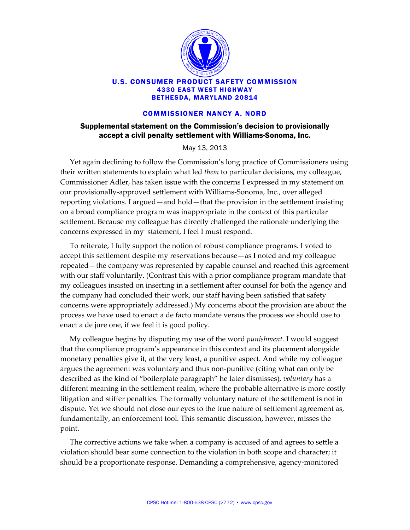

## U.S. CONSUMER PRODUCT SAFETY COMMISSION 4330 EAST WEST HIGHWAY BETHESDA, MARYLAND 20814

## COMMISSIONER NANCY A. NORD

## Supplemental statement on the Commission's decision to provisionally accept a civil penalty settlement with Williams-Sonoma, Inc.

May 13, 2013

Yet again declining to follow the Commission's long practice of Commissioners using their written statements to explain what led *them* to particular decisions, my colleague, Commissioner Adler, has taken issue with the concerns I expressed in my statement on our provisionally‐approved settlement with Williams‐Sonoma, Inc., over alleged reporting violations. I argued—and hold—that the provision in the settlement insisting on a broad compliance program was inappropriate in the context of this particular settlement. Because my colleague has directly challenged the rationale underlying the concerns expressed in my statement, I feel I must respond.

To reiterate, I fully support the notion of robust compliance programs. I voted to accept this settlement despite my reservations because—as I noted and my colleague repeated—the company was represented by capable counsel and reached this agreement with our staff voluntarily. (Contrast this with a prior compliance program mandate that my colleagues insisted on inserting in a settlement after counsel for both the agency and the company had concluded their work, our staff having been satisfied that safety concerns were appropriately addressed.) My concerns about the provision are about the process we have used to enact a de facto mandate versus the process we should use to enact a de jure one, if we feel it is good policy.

My colleague begins by disputing my use of the word *punishment*. I would suggest that the compliance program's appearance in this context and its placement alongside monetary penalties give it, at the very least, a punitive aspect. And while my colleague argues the agreement was voluntary and thus non‐punitive (citing what can only be described as the kind of "boilerplate paragraph" he later dismisses), *voluntary* has a different meaning in the settlement realm, where the probable alternative is more costly litigation and stiffer penalties. The formally voluntary nature of the settlement is not in dispute. Yet we should not close our eyes to the true nature of settlement agreement as, fundamentally, an enforcement tool. This semantic discussion, however, misses the point.

The corrective actions we take when a company is accused of and agrees to settle a violation should bear some connection to the violation in both scope and character; it should be a proportionate response. Demanding a comprehensive, agency‐monitored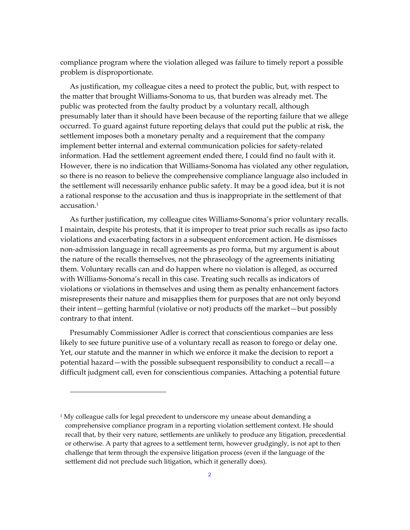compliance program where the violation alleged was failure to timely report a possible problem is disproportionate.

As justification, my colleague cites a need to protect the public, but, with respect to the matter that brought Williams‐Sonoma to us, that burden was already met. The public was protected from the faulty product by a voluntary recall, although presumably later than it should have been because of the reporting failure that we allege occurred. To guard against future reporting delays that could put the public at risk, the settlement imposes both a monetary penalty and a requirement that the company implement better internal and external communication policies for safety-related information. Had the settlement agreement ended there, I could find no fault with it. However, there is no indication that Williams‐Sonoma has violated any other regulation, so there is no reason to believe the comprehensive compliance language also included in the settlement will necessarily enhance public safety. It may be a good idea, but it is not a rational response to the accusation and thus is inappropriate in the settlement of that accusation.1

As further justification, my colleague cites Williams‐Sonoma's prior voluntary recalls. I maintain, despite his protests, that it is improper to treat prior such recalls as ipso facto violations and exacerbating factors in a subsequent enforcement action. He dismisses non‐admission language in recall agreements as pro forma, but my argument is about the nature of the recalls themselves, not the phraseology of the agreements initiating them. Voluntary recalls can and do happen where no violation is alleged, as occurred with Williams‐Sonoma's recall in this case. Treating such recalls as indicators of violations or violations in themselves and using them as penalty enhancement factors misrepresents their nature and misapplies them for purposes that are not only beyond their intent—getting harmful (violative or not) products off the market—but possibly contrary to that intent.

Presumably Commissioner Adler is correct that conscientious companies are less likely to see future punitive use of a voluntary recall as reason to forego or delay one. Yet, our statute and the manner in which we enforce it make the decision to report a potential hazard—with the possible subsequent responsibility to conduct a recall—a difficult judgment call, even for conscientious companies. Attaching a potential future

<u> 1989 - Johann Stein, marwolaethau a bh</u>

 $1$  My colleague calls for legal precedent to underscore my unease about demanding a comprehensive compliance program in a reporting violation settlement context. He should recall that, by their very nature, settlements are unlikely to produce any litigation, precedential or otherwise. A party that agrees to a settlement term, however grudgingly, is not apt to then challenge that term through the expensive litigation process (even if the language of the settlement did not preclude such litigation, which it generally does).